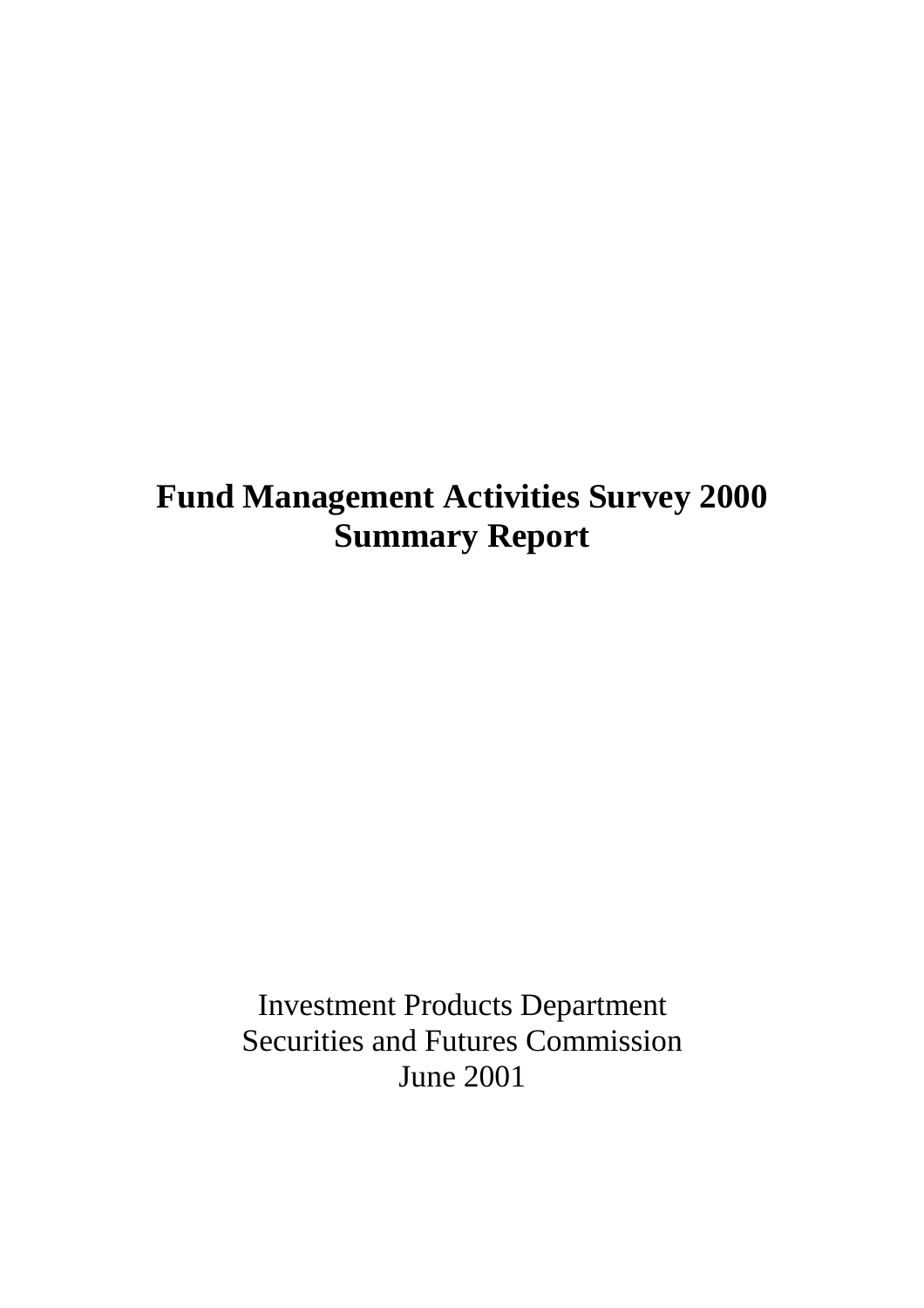# **Fund Management Activities Survey 2000 Summary Report**

Investment Products Department Securities and Futures Commission June 2001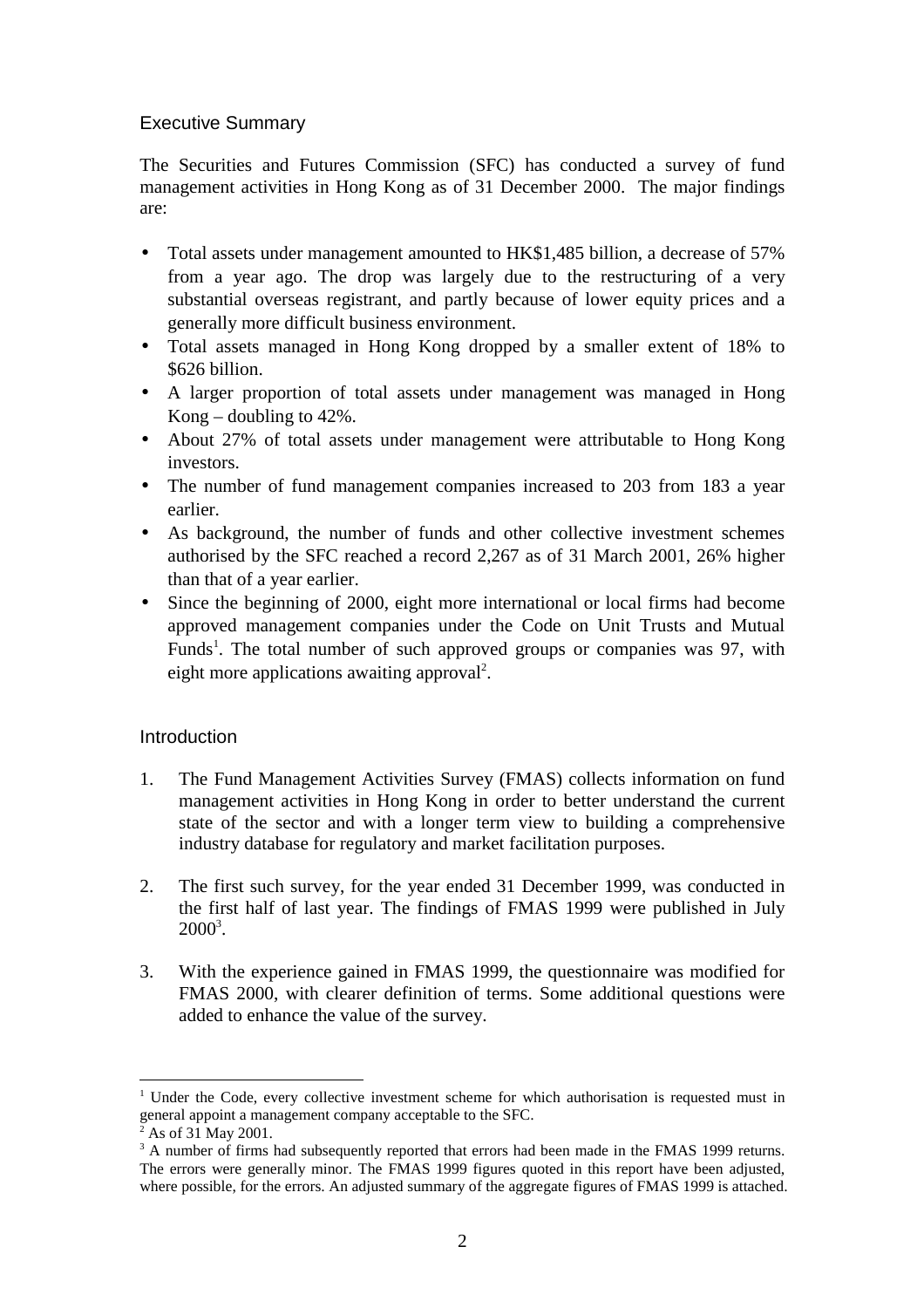## Executive Summary

The Securities and Futures Commission (SFC) has conducted a survey of fund management activities in Hong Kong as of 31 December 2000. The major findings are:

- Total assets under management amounted to HK\$1,485 billion, a decrease of 57% from a year ago. The drop was largely due to the restructuring of a very substantial overseas registrant, and partly because of lower equity prices and a generally more difficult business environment.
- Total assets managed in Hong Kong dropped by a smaller extent of 18% to \$626 billion.
- A larger proportion of total assets under management was managed in Hong Kong – doubling to 42%.
- About 27% of total assets under management were attributable to Hong Kong investors.
- The number of fund management companies increased to 203 from 183 a year earlier.
- As background, the number of funds and other collective investment schemes authorised by the SFC reached a record 2,267 as of 31 March 2001, 26% higher than that of a year earlier.
- Since the beginning of 2000, eight more international or local firms had become approved management companies under the Code on Unit Trusts and Mutual Funds<sup>1</sup>. The total number of such approved groups or companies was 97, with eight more applications awaiting approval<sup>2</sup>.

## **Introduction**

- 1. The Fund Management Activities Survey (FMAS) collects information on fund management activities in Hong Kong in order to better understand the current state of the sector and with a longer term view to building a comprehensive industry database for regulatory and market facilitation purposes.
- 2. The first such survey, for the year ended 31 December 1999, was conducted in the first half of last year. The findings of FMAS 1999 were published in July  $2000^3$ .
- 3. With the experience gained in FMAS 1999, the questionnaire was modified for FMAS 2000, with clearer definition of terms. Some additional questions were added to enhance the value of the survey.

 $\overline{a}$ 

<sup>&</sup>lt;sup>1</sup> Under the Code, every collective investment scheme for which authorisation is requested must in general appoint a management company acceptable to the SFC.

 $^{2}$  As of 31 May 2001.

<sup>&</sup>lt;sup>3</sup> A number of firms had subsequently reported that errors had been made in the FMAS 1999 returns. The errors were generally minor. The FMAS 1999 figures quoted in this report have been adjusted, where possible, for the errors. An adjusted summary of the aggregate figures of FMAS 1999 is attached.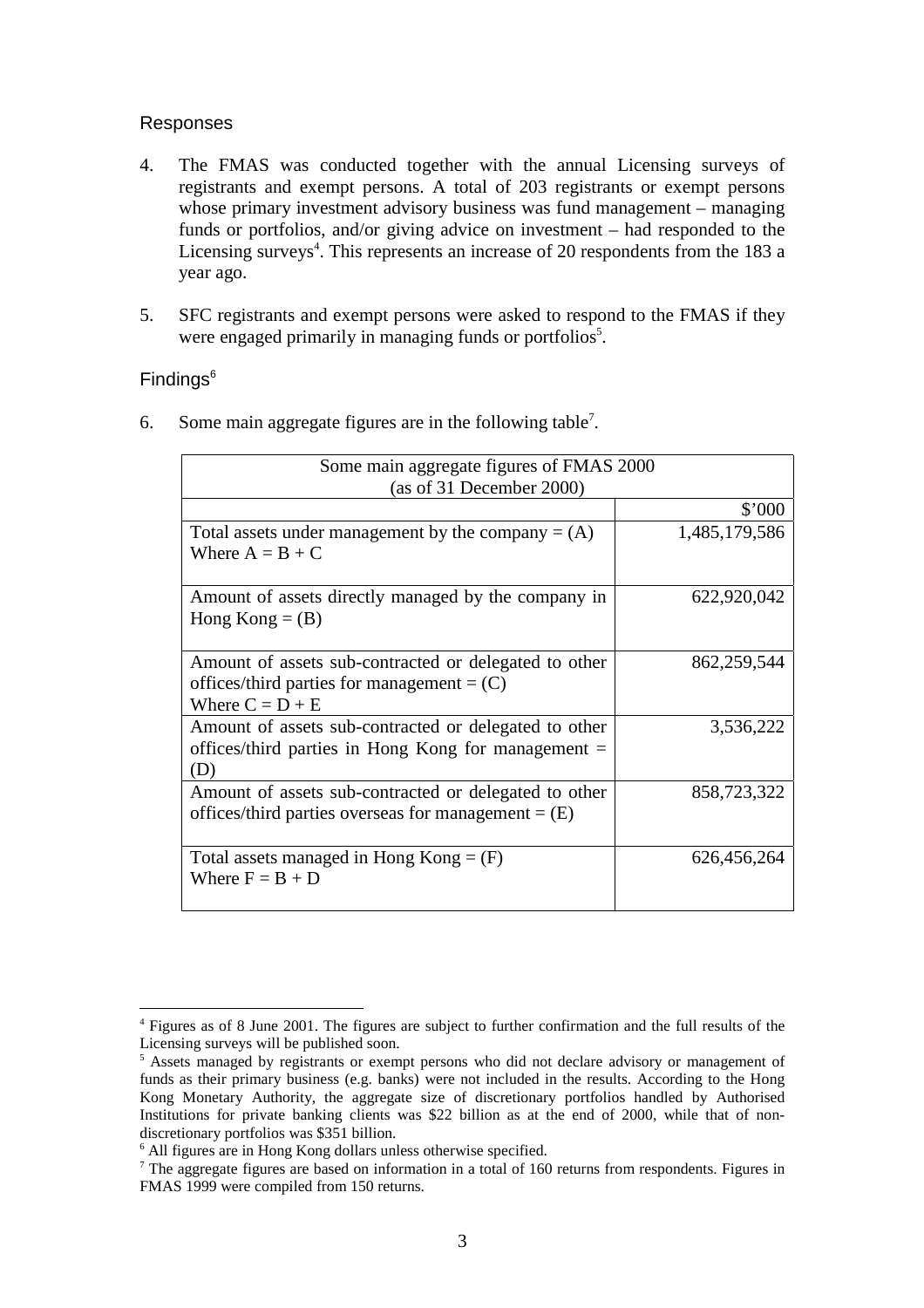#### Responses

- 4. The FMAS was conducted together with the annual Licensing surveys of registrants and exempt persons. A total of 203 registrants or exempt persons whose primary investment advisory business was fund management – managing funds or portfolios, and/or giving advice on investment – had responded to the Licensing surveys<sup>4</sup>. This represents an increase of 20 respondents from the 183 a year ago.
- 5. SFC registrants and exempt persons were asked to respond to the FMAS if they were engaged primarily in managing funds or portfolios<sup>5</sup>.

## Findings<sup>6</sup>

| Some main aggregate figures of FMAS 2000<br>(as of 31 December 2000)                                                       |                |
|----------------------------------------------------------------------------------------------------------------------------|----------------|
|                                                                                                                            |                |
|                                                                                                                            | $$^{\circ}000$ |
| Total assets under management by the company $= (A)$<br>Where $A = B + C$                                                  | 1,485,179,586  |
| Amount of assets directly managed by the company in<br>Hong Kong $=(B)$                                                    | 622,920,042    |
| Amount of assets sub-contracted or delegated to other<br>offices/third parties for management = $(C)$<br>Where $C = D + E$ | 862,259,544    |
| Amount of assets sub-contracted or delegated to other<br>offices/third parties in Hong Kong for management $=$<br>(D)      | 3,536,222      |
| Amount of assets sub-contracted or delegated to other<br>offices/third parties overseas for management = $(E)$             | 858,723,322    |
| Total assets managed in Hong $Kong = (F)$<br>Where $F = B + D$                                                             | 626,456,264    |

6. Some main aggregate figures are in the following table<sup>7</sup>.

<sup>4</sup> Figures as of 8 June 2001. The figures are subject to further confirmation and the full results of the Licensing surveys will be published soon.

<sup>&</sup>lt;sup>5</sup> Assets managed by registrants or exempt persons who did not declare advisory or management of funds as their primary business (e.g. banks) were not included in the results. According to the Hong Kong Monetary Authority, the aggregate size of discretionary portfolios handled by Authorised Institutions for private banking clients was \$22 billion as at the end of 2000, while that of nondiscretionary portfolios was \$351 billion.

<sup>6</sup> All figures are in Hong Kong dollars unless otherwise specified.

<sup>&</sup>lt;sup>7</sup> The aggregate figures are based on information in a total of 160 returns from respondents. Figures in FMAS 1999 were compiled from 150 returns.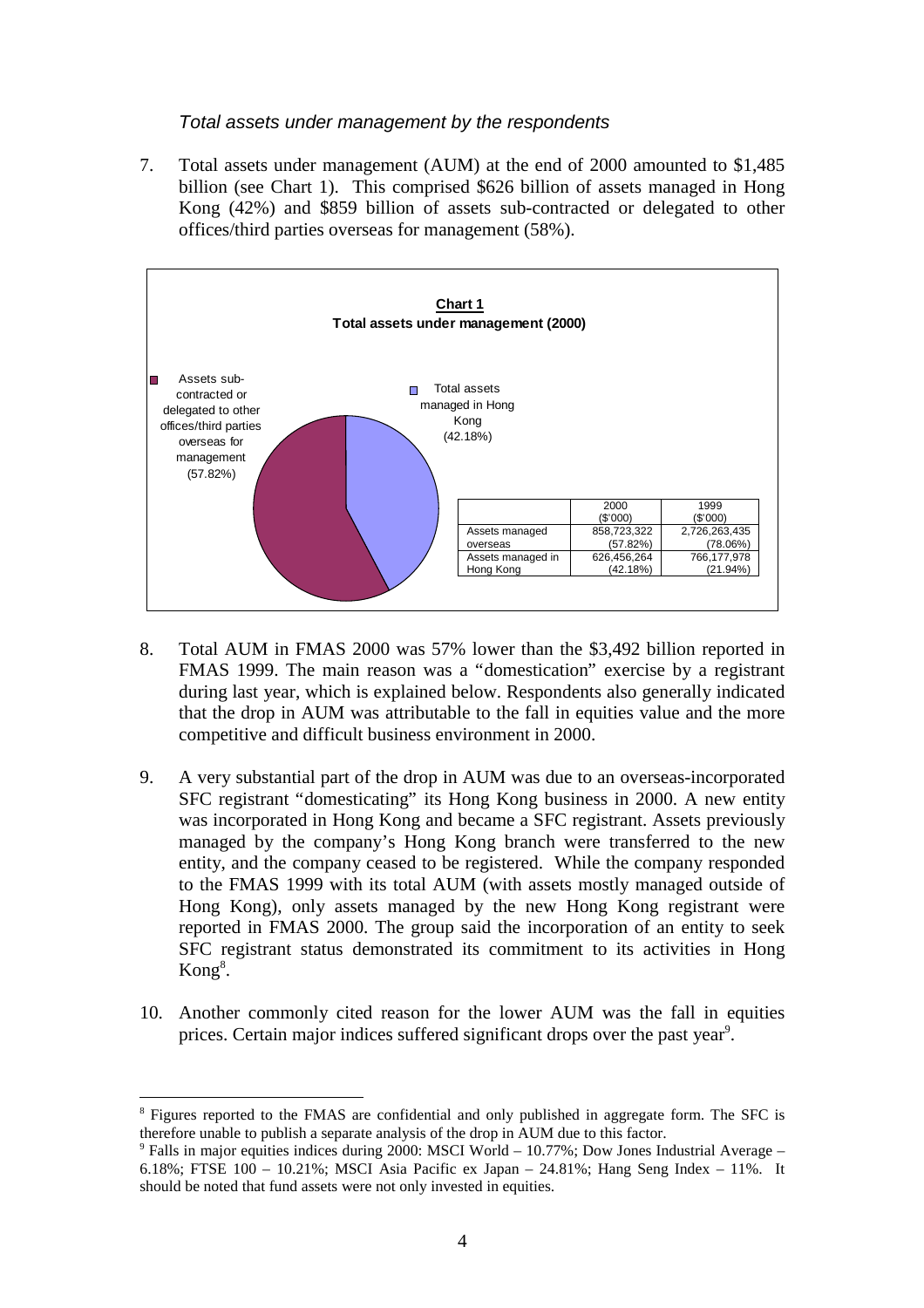#### *Total assets under management by the respondents*

7. Total assets under management (AUM) at the end of 2000 amounted to \$1,485 billion (see Chart 1). This comprised \$626 billion of assets managed in Hong Kong (42%) and \$859 billion of assets sub-contracted or delegated to other offices/third parties overseas for management (58%).



- 8. Total AUM in FMAS 2000 was 57% lower than the \$3,492 billion reported in FMAS 1999. The main reason was a "domestication" exercise by a registrant during last year, which is explained below. Respondents also generally indicated that the drop in AUM was attributable to the fall in equities value and the more competitive and difficult business environment in 2000.
- 9. A very substantial part of the drop in AUM was due to an overseas-incorporated SFC registrant "domesticating" its Hong Kong business in 2000. A new entity was incorporated in Hong Kong and became a SFC registrant. Assets previously managed by the company's Hong Kong branch were transferred to the new entity, and the company ceased to be registered. While the company responded to the FMAS 1999 with its total AUM (with assets mostly managed outside of Hong Kong), only assets managed by the new Hong Kong registrant were reported in FMAS 2000. The group said the incorporation of an entity to seek SFC registrant status demonstrated its commitment to its activities in Hong  $Kong<sup>8</sup>$ .
- 10. Another commonly cited reason for the lower AUM was the fall in equities prices. Certain major indices suffered significant drops over the past year<sup>9</sup>.

 $\overline{a}$ 

<sup>&</sup>lt;sup>8</sup> Figures reported to the FMAS are confidential and only published in aggregate form. The SFC is therefore unable to publish a separate analysis of the drop in AUM due to this factor.

<sup>&</sup>lt;sup>9</sup> Falls in major equities indices during 2000: MSCI World – 10.77%; Dow Jones Industrial Average – 6.18%; FTSE 100 – 10.21%; MSCI Asia Pacific ex Japan – 24.81%; Hang Seng Index – 11%. It should be noted that fund assets were not only invested in equities.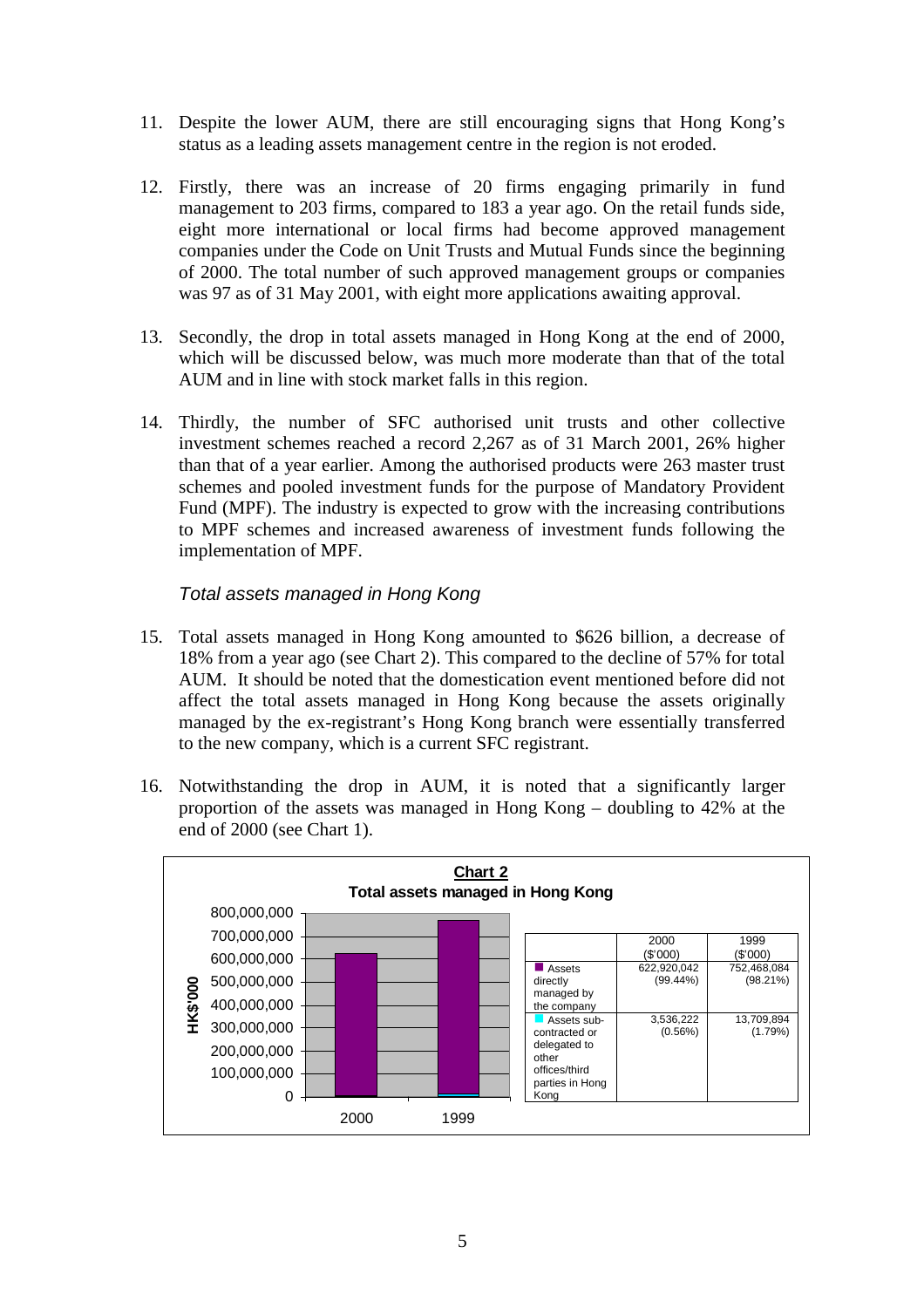- 11. Despite the lower AUM, there are still encouraging signs that Hong Kong's status as a leading assets management centre in the region is not eroded.
- 12. Firstly, there was an increase of 20 firms engaging primarily in fund management to 203 firms, compared to 183 a year ago. On the retail funds side, eight more international or local firms had become approved management companies under the Code on Unit Trusts and Mutual Funds since the beginning of 2000. The total number of such approved management groups or companies was 97 as of 31 May 2001, with eight more applications awaiting approval.
- 13. Secondly, the drop in total assets managed in Hong Kong at the end of 2000, which will be discussed below, was much more moderate than that of the total AUM and in line with stock market falls in this region.
- 14. Thirdly, the number of SFC authorised unit trusts and other collective investment schemes reached a record 2,267 as of 31 March 2001, 26% higher than that of a year earlier. Among the authorised products were 263 master trust schemes and pooled investment funds for the purpose of Mandatory Provident Fund (MPF). The industry is expected to grow with the increasing contributions to MPF schemes and increased awareness of investment funds following the implementation of MPF.

## *Total assets managed in Hong Kong*

- 15. Total assets managed in Hong Kong amounted to \$626 billion, a decrease of 18% from a year ago (see Chart 2). This compared to the decline of 57% for total AUM. It should be noted that the domestication event mentioned before did not affect the total assets managed in Hong Kong because the assets originally managed by the ex-registrant's Hong Kong branch were essentially transferred to the new company, which is a current SFC registrant.
- 16. Notwithstanding the drop in AUM, it is noted that a significantly larger proportion of the assets was managed in Hong Kong – doubling to 42% at the end of 2000 (see Chart 1).

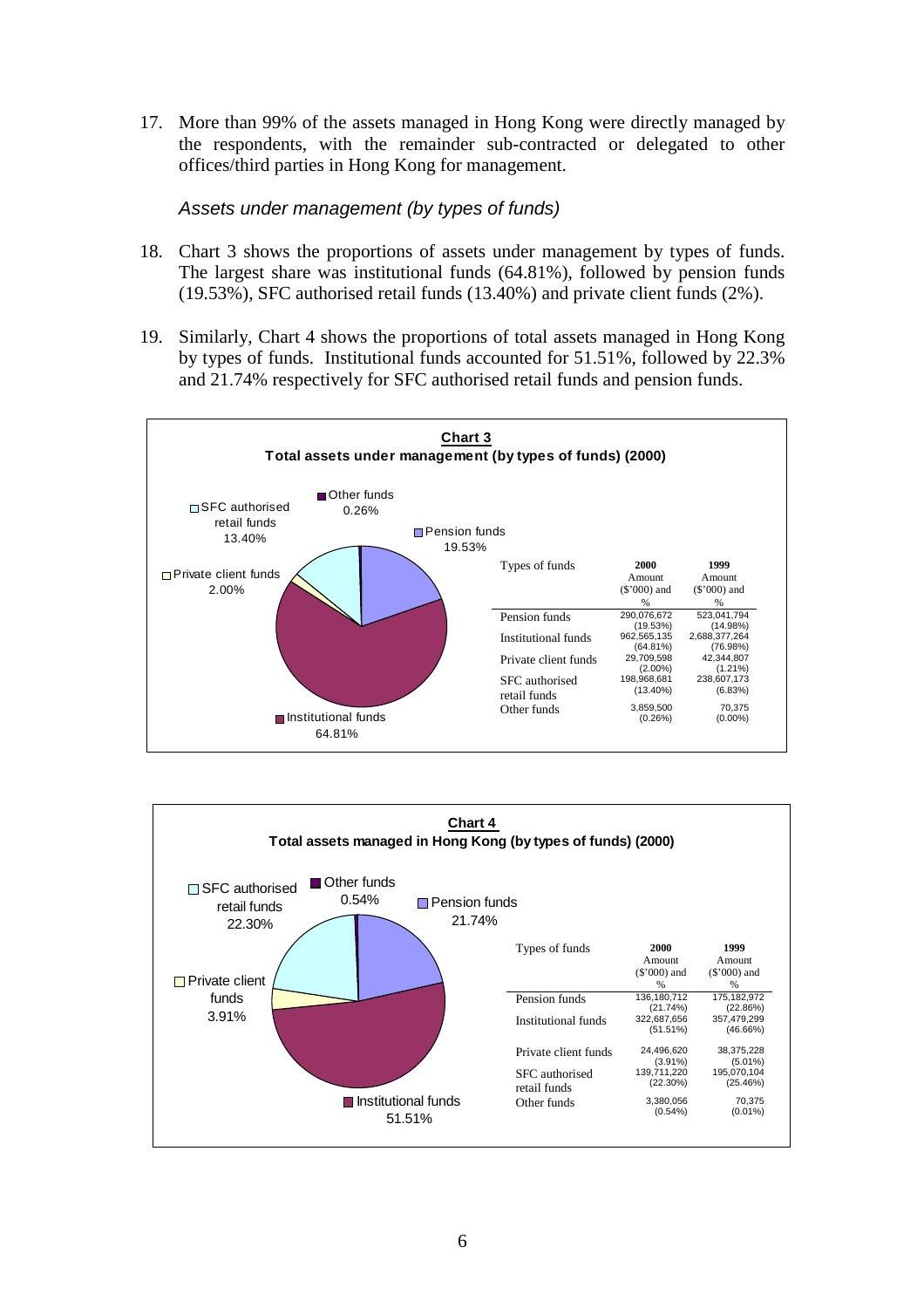17. More than 99% of the assets managed in Hong Kong were directly managed by the respondents, with the remainder sub-contracted or delegated to other offices/third parties in Hong Kong for management.

#### *Assets under management (by types of funds)*

- 18. Chart 3 shows the proportions of assets under management by types of funds. The largest share was institutional funds (64.81%), followed by pension funds (19.53%), SFC authorised retail funds (13.40%) and private client funds (2%).
- 19. Similarly, Chart 4 shows the proportions of total assets managed in Hong Kong by types of funds. Institutional funds accounted for 51.51%, followed by 22.3% and 21.74% respectively for SFC authorised retail funds and pension funds.



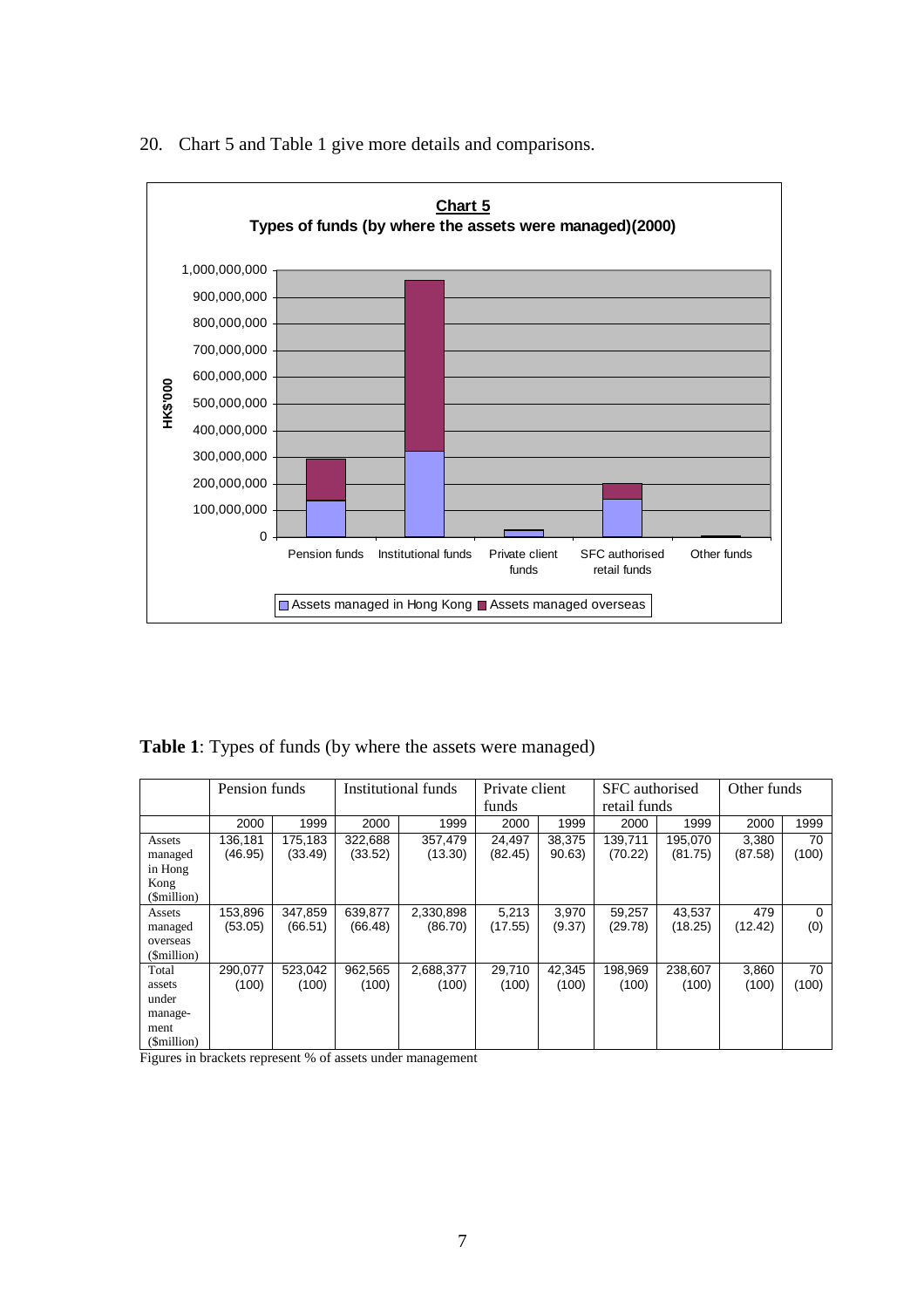

20. Chart 5 and Table 1 give more details and comparisons.

**Table 1**: Types of funds (by where the assets were managed)

|             | Pension funds |         | Institutional funds |           | Private client |        | SFC authorised |         | Other funds |          |
|-------------|---------------|---------|---------------------|-----------|----------------|--------|----------------|---------|-------------|----------|
|             |               |         |                     |           | funds          |        | retail funds   |         |             |          |
|             | 2000          | 1999    | 2000                | 1999      | 2000           | 1999   | 2000           | 1999    | 2000        | 1999     |
| Assets      | 136.181       | 175.183 | 322.688             | 357.479   | 24.497         | 38.375 | 139.711        | 195.070 | 3.380       | 70       |
| managed     | (46.95)       | (33.49) | (33.52)             | (13.30)   | (82.45)        | 90.63  | (70.22)        | (81.75) | (87.58)     | (100)    |
| in Hong     |               |         |                     |           |                |        |                |         |             |          |
| Kong        |               |         |                     |           |                |        |                |         |             |          |
| (\$million) |               |         |                     |           |                |        |                |         |             |          |
| Assets      | 153,896       | 347,859 | 639,877             | 2,330,898 | 5.213          | 3.970  | 59.257         | 43,537  | 479         | $\Omega$ |
| managed     | (53.05)       | (66.51) | (66.48)             | (86.70)   | (17.55)        | (9.37) | (29.78)        | (18.25) | (12.42)     | (0)      |
| overseas    |               |         |                     |           |                |        |                |         |             |          |
| (\$million) |               |         |                     |           |                |        |                |         |             |          |
| Total       | 290.077       | 523,042 | 962,565             | 2,688,377 | 29,710         | 42,345 | 198,969        | 238.607 | 3,860       | 70       |
| assets      | (100)         | (100)   | (100)               | (100)     | (100)          | (100)  | (100)          | (100)   | (100)       | (100)    |
| under       |               |         |                     |           |                |        |                |         |             |          |
| manage-     |               |         |                     |           |                |        |                |         |             |          |
| ment        |               |         |                     |           |                |        |                |         |             |          |
| (\$million) |               |         |                     |           |                |        |                |         |             |          |

Figures in brackets represent % of assets under management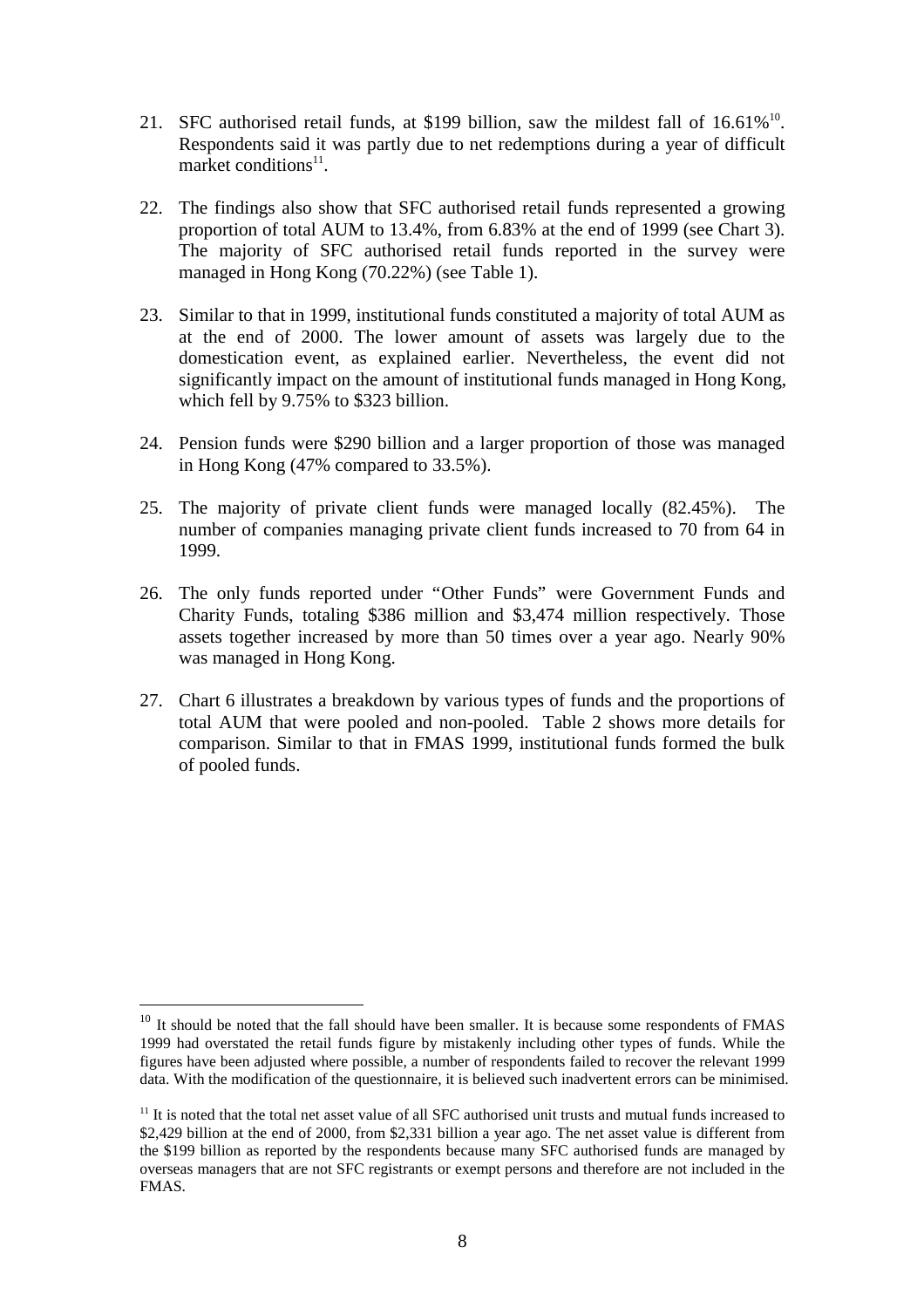- 21. SFC authorised retail funds, at \$199 billion, saw the mildest fall of  $16.61\%^{10}$ . Respondents said it was partly due to net redemptions during a year of difficult market conditions $11$ .
- 22. The findings also show that SFC authorised retail funds represented a growing proportion of total AUM to 13.4%, from 6.83% at the end of 1999 (see Chart 3). The majority of SFC authorised retail funds reported in the survey were managed in Hong Kong (70.22%) (see Table 1).
- 23. Similar to that in 1999, institutional funds constituted a majority of total AUM as at the end of 2000. The lower amount of assets was largely due to the domestication event, as explained earlier. Nevertheless, the event did not significantly impact on the amount of institutional funds managed in Hong Kong, which fell by 9.75% to \$323 billion.
- 24. Pension funds were \$290 billion and a larger proportion of those was managed in Hong Kong (47% compared to 33.5%).
- 25. The majority of private client funds were managed locally (82.45%). The number of companies managing private client funds increased to 70 from 64 in 1999.
- 26. The only funds reported under "Other Funds" were Government Funds and Charity Funds, totaling \$386 million and \$3,474 million respectively. Those assets together increased by more than 50 times over a year ago. Nearly 90% was managed in Hong Kong.
- 27. Chart 6 illustrates a breakdown by various types of funds and the proportions of total AUM that were pooled and non-pooled. Table 2 shows more details for comparison. Similar to that in FMAS 1999, institutional funds formed the bulk of pooled funds.

 $\overline{a}$ 

<sup>&</sup>lt;sup>10</sup> It should be noted that the fall should have been smaller. It is because some respondents of FMAS 1999 had overstated the retail funds figure by mistakenly including other types of funds. While the figures have been adjusted where possible, a number of respondents failed to recover the relevant 1999 data. With the modification of the questionnaire, it is believed such inadvertent errors can be minimised.

<sup>&</sup>lt;sup>11</sup> It is noted that the total net asset value of all SFC authorised unit trusts and mutual funds increased to \$2,429 billion at the end of 2000, from \$2,331 billion a year ago. The net asset value is different from the \$199 billion as reported by the respondents because many SFC authorised funds are managed by overseas managers that are not SFC registrants or exempt persons and therefore are not included in the FMAS.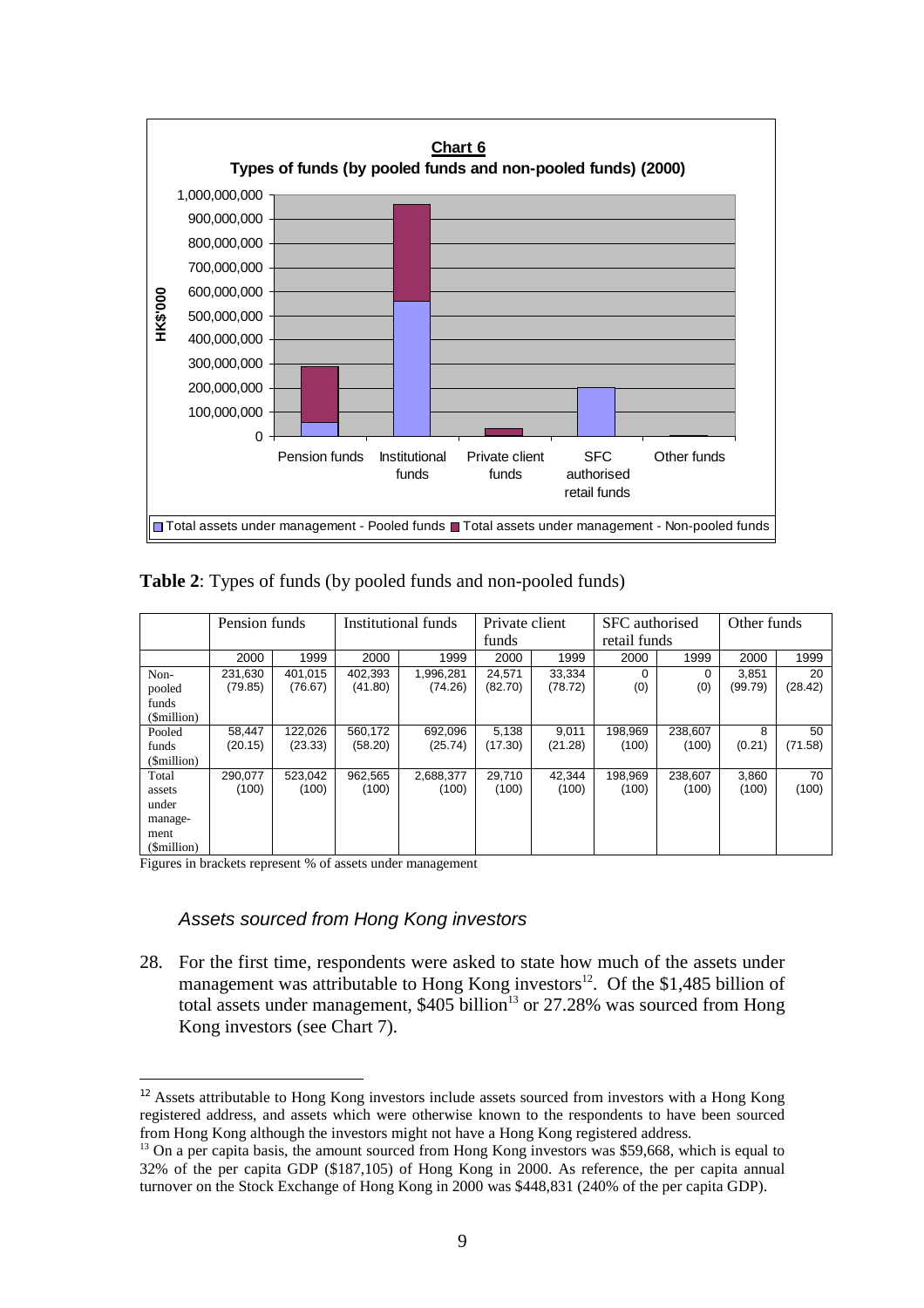

**Table 2**: Types of funds (by pooled funds and non-pooled funds)

|                                                            | Pension funds      |                    | Institutional funds |                      | Private client    |                   | SFC authorised   |                  | Other funds      |               |
|------------------------------------------------------------|--------------------|--------------------|---------------------|----------------------|-------------------|-------------------|------------------|------------------|------------------|---------------|
|                                                            |                    |                    |                     |                      | funds             |                   | retail funds     |                  |                  |               |
|                                                            | 2000               | 1999               | 2000                | 1999                 | 2000              | 1999              | 2000             | 1999             | 2000             | 1999          |
| Non-<br>pooled<br>funds<br>(\$million)                     | 231.630<br>(79.85) | 401.015<br>(76.67) | 402.393<br>(41.80)  | 1,996,281<br>(74.26) | 24.571<br>(82.70) | 33,334<br>(78.72) | $\Omega$<br>(0)  | $\Omega$<br>(0)  | 3.851<br>(99.79) | 20<br>(28.42) |
| Pooled<br>funds<br>(\$million)                             | 58.447<br>(20.15)  | 122.026<br>(23.33) | 560.172<br>(58.20)  | 692.096<br>(25.74)   | 5.138<br>(17.30)  | 9.011<br>(21.28)  | 198.969<br>(100) | 238,607<br>(100) | 8<br>(0.21)      | 50<br>(71.58) |
| Total<br>assets<br>under<br>manage-<br>ment<br>(\$million) | 290.077<br>(100)   | 523.042<br>(100)   | 962,565<br>(100)    | 2,688,377<br>(100)   | 29,710<br>(100)   | 42.344<br>(100)   | 198.969<br>(100) | 238,607<br>(100) | 3,860<br>(100)   | 70<br>(100)   |

Figures in brackets represent % of assets under management

 $\overline{a}$ 

#### *Assets sourced from Hong Kong investors*

28. For the first time, respondents were asked to state how much of the assets under management was attributable to Hong Kong investors<sup>12</sup>. Of the \$1,485 billion of total assets under management,  $$405$  billion<sup>13</sup> or 27.28% was sourced from Hong Kong investors (see Chart 7).

<sup>&</sup>lt;sup>12</sup> Assets attributable to Hong Kong investors include assets sourced from investors with a Hong Kong registered address, and assets which were otherwise known to the respondents to have been sourced from Hong Kong although the investors might not have a Hong Kong registered address.

<sup>&</sup>lt;sup>13</sup> On a per capita basis, the amount sourced from Hong Kong investors was \$59,668, which is equal to 32% of the per capita GDP (\$187,105) of Hong Kong in 2000. As reference, the per capita annual turnover on the Stock Exchange of Hong Kong in 2000 was \$448,831 (240% of the per capita GDP).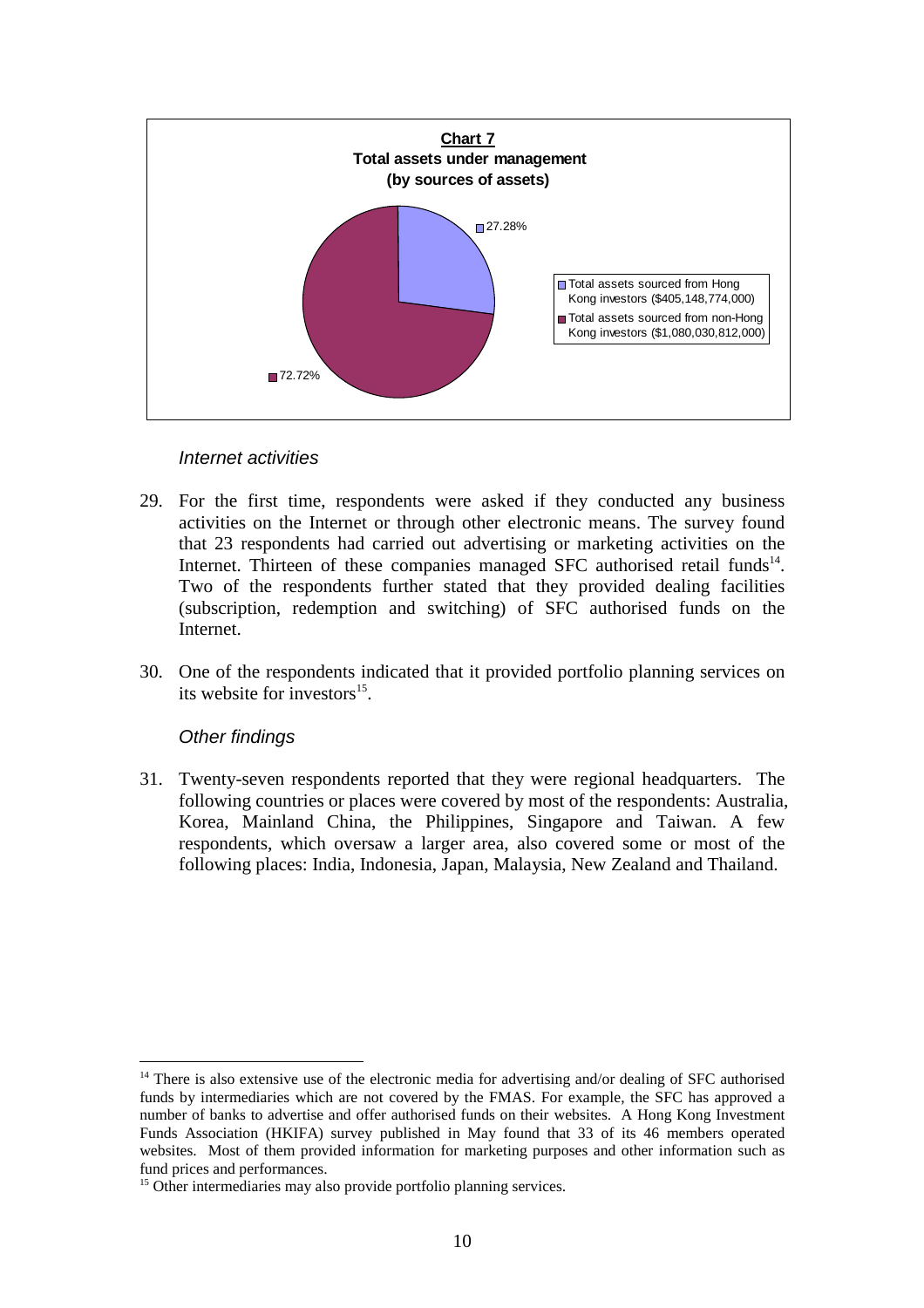

#### *Internet activities*

- 29. For the first time, respondents were asked if they conducted any business activities on the Internet or through other electronic means. The survey found that 23 respondents had carried out advertising or marketing activities on the Internet. Thirteen of these companies managed SFC authorised retail funds $14$ . Two of the respondents further stated that they provided dealing facilities (subscription, redemption and switching) of SFC authorised funds on the Internet.
- 30. One of the respondents indicated that it provided portfolio planning services on its website for investors $^{15}$ .

## *Other findings*

 $\overline{a}$ 

31. Twenty-seven respondents reported that they were regional headquarters. The following countries or places were covered by most of the respondents: Australia, Korea, Mainland China, the Philippines, Singapore and Taiwan. A few respondents, which oversaw a larger area, also covered some or most of the following places: India, Indonesia, Japan, Malaysia, New Zealand and Thailand.

<sup>&</sup>lt;sup>14</sup> There is also extensive use of the electronic media for advertising and/or dealing of SFC authorised funds by intermediaries which are not covered by the FMAS. For example, the SFC has approved a number of banks to advertise and offer authorised funds on their websites. A Hong Kong Investment Funds Association (HKIFA) survey published in May found that 33 of its 46 members operated websites. Most of them provided information for marketing purposes and other information such as fund prices and performances.

<sup>&</sup>lt;sup>15</sup> Other intermediaries may also provide portfolio planning services.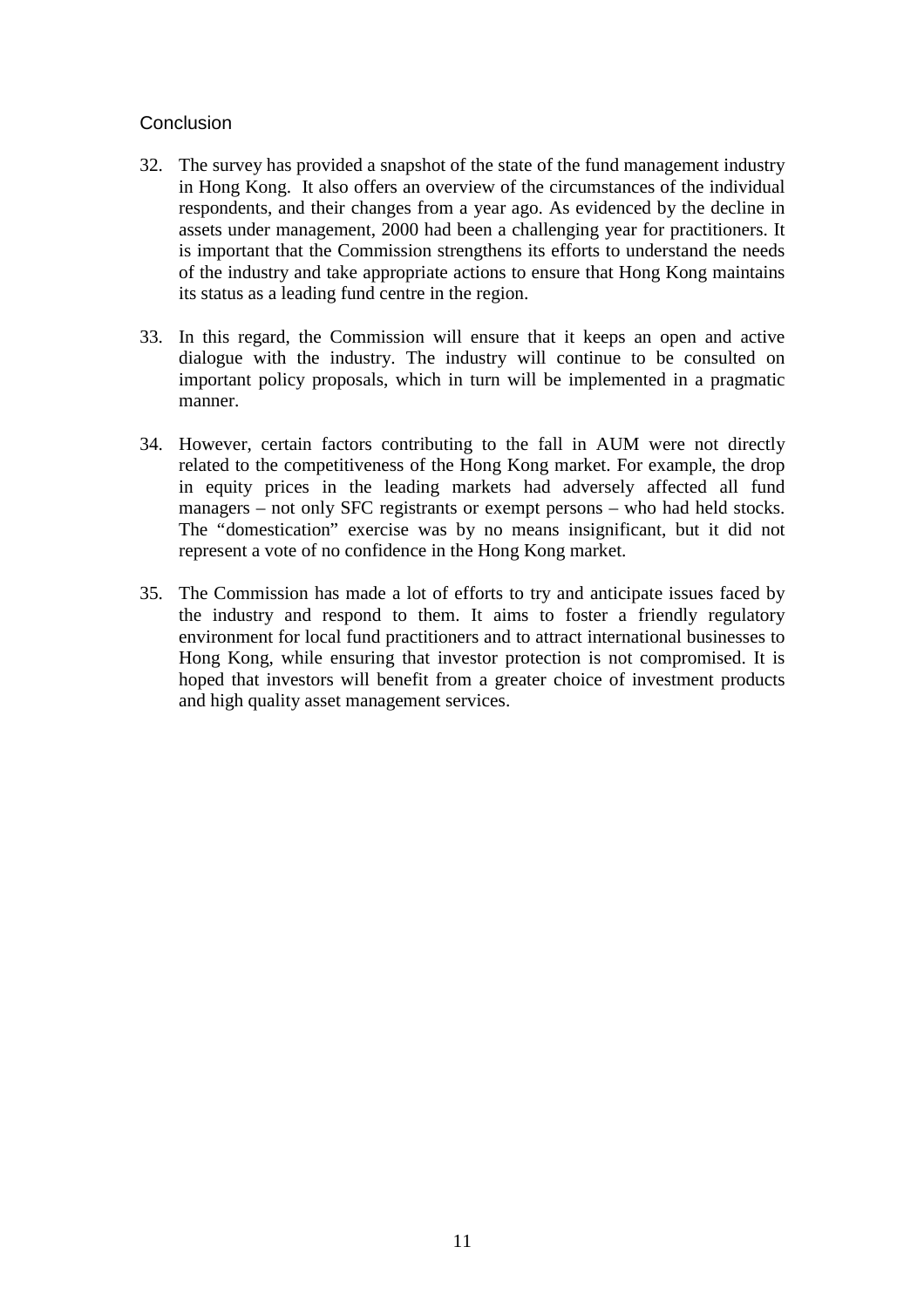## **Conclusion**

- 32. The survey has provided a snapshot of the state of the fund management industry in Hong Kong. It also offers an overview of the circumstances of the individual respondents, and their changes from a year ago. As evidenced by the decline in assets under management, 2000 had been a challenging year for practitioners. It is important that the Commission strengthens its efforts to understand the needs of the industry and take appropriate actions to ensure that Hong Kong maintains its status as a leading fund centre in the region.
- 33. In this regard, the Commission will ensure that it keeps an open and active dialogue with the industry. The industry will continue to be consulted on important policy proposals, which in turn will be implemented in a pragmatic manner.
- 34. However, certain factors contributing to the fall in AUM were not directly related to the competitiveness of the Hong Kong market. For example, the drop in equity prices in the leading markets had adversely affected all fund managers – not only SFC registrants or exempt persons – who had held stocks. The "domestication" exercise was by no means insignificant, but it did not represent a vote of no confidence in the Hong Kong market.
- 35. The Commission has made a lot of efforts to try and anticipate issues faced by the industry and respond to them. It aims to foster a friendly regulatory environment for local fund practitioners and to attract international businesses to Hong Kong, while ensuring that investor protection is not compromised. It is hoped that investors will benefit from a greater choice of investment products and high quality asset management services.